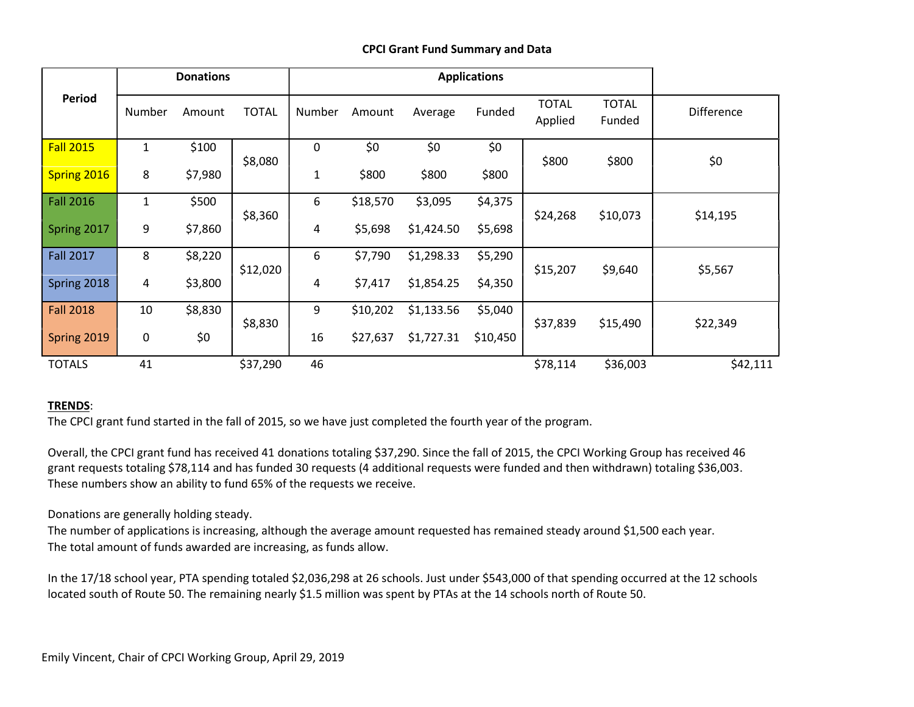## CPCI Grant Fund Summary and Data

| <b>Period</b>    | <b>Donations</b> |         |              | <b>Applications</b> |          |            |          |                         |                        |            |
|------------------|------------------|---------|--------------|---------------------|----------|------------|----------|-------------------------|------------------------|------------|
|                  | Number           | Amount  | <b>TOTAL</b> | Number              | Amount   | Average    | Funded   | <b>TOTAL</b><br>Applied | <b>TOTAL</b><br>Funded | Difference |
| <b>Fall 2015</b> | $\mathbf{1}$     | \$100   | \$8,080      | 0                   | \$0      | \$0        | \$0      | \$800                   | \$800                  | \$0        |
| Spring 2016      | 8                | \$7,980 |              | 1                   | \$800    | \$800      | \$800    |                         |                        |            |
| <b>Fall 2016</b> | 1                | \$500   |              | 6                   | \$18,570 | \$3,095    | \$4,375  |                         |                        |            |
| Spring 2017      | 9                | \$7,860 | \$8,360      | 4                   | \$5,698  | \$1,424.50 | \$5,698  | \$24,268                | \$10,073               | \$14,195   |
| <b>Fall 2017</b> | 8                | \$8,220 |              | 6                   | \$7,790  | \$1,298.33 | \$5,290  |                         |                        |            |
| Spring 2018      | 4                | \$3,800 | \$12,020     | 4                   | \$7,417  | \$1,854.25 | \$4,350  | \$15,207                | \$9,640                | \$5,567    |
| <b>Fall 2018</b> | 10               | \$8,830 |              | 9                   | \$10,202 | \$1,133.56 | \$5,040  |                         |                        |            |
| Spring 2019      | 0                | \$0     | \$8,830      | 16                  | \$27,637 | \$1,727.31 | \$10,450 | \$37,839                | \$15,490               | \$22,349   |
| <b>TOTALS</b>    | 41               |         | \$37,290     | 46                  |          |            |          | \$78,114                | \$36,003               | \$42,111   |

## TRENDS:

The CPCI grant fund started in the fall of 2015, so we have just completed the fourth year of the program.

Overall, the CPCI grant fund has received 41 donations totaling \$37,290. Since the fall of 2015, the CPCI Working Group has received 46 grant requests totaling \$78,114 and has funded 30 requests (4 additional requests were funded and then withdrawn) totaling \$36,003. These numbers show an ability to fund 65% of the requests we receive.

Donations are generally holding steady.

The number of applications is increasing, although the average amount requested has remained steady around \$1,500 each year. The total amount of funds awarded are increasing, as funds allow.

In the 17/18 school year, PTA spending totaled \$2,036,298 at 26 schools. Just under \$543,000 of that spending occurred at the 12 schools located south of Route 50. The remaining nearly \$1.5 million was spent by PTAs at the 14 schools north of Route 50.